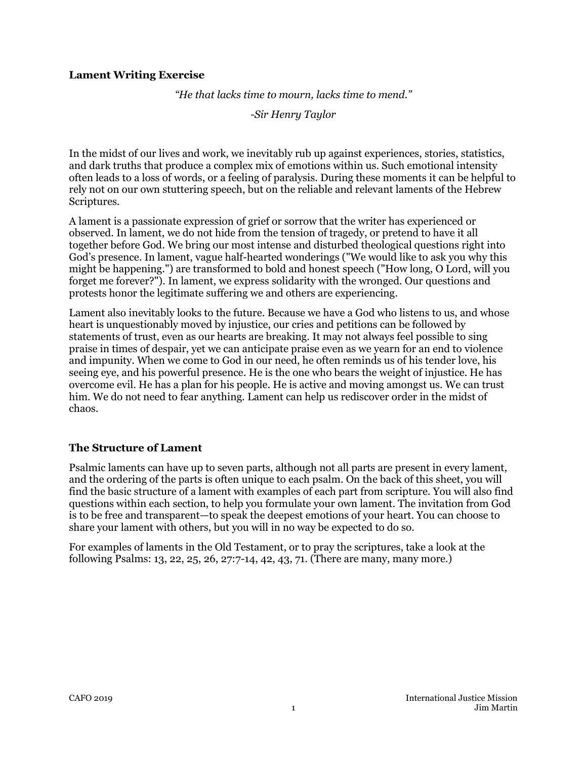#### **Lament Writing Exercise**

*"He that lacks time to mourn, lacks time to mend."*

*-Sir Henry Taylor*

In the midst of our lives and work, we inevitably rub up against experiences, stories, statistics, and dark truths that produce a complex mix of emotions within us. Such emotional intensity often leads to a loss of words, or a feeling of paralysis. During these moments it can be helpful to rely not on our own stuttering speech, but on the reliable and relevant laments of the Hebrew Scriptures.

A lament is a passionate expression of grief or sorrow that the writer has experienced or observed. In lament, we do not hide from the tension of tragedy, or pretend to have it all together before God. We bring our most intense and disturbed theological questions right into God's presence. In lament, vague half-hearted wonderings ("We would like to ask you why this might be happening.") are transformed to bold and honest speech ("How long, O Lord, will you forget me forever?"). In lament, we express solidarity with the wronged. Our questions and protests honor the legitimate suffering we and others are experiencing.

Lament also inevitably looks to the future. Because we have a God who listens to us, and whose heart is unquestionably moved by injustice, our cries and petitions can be followed by statements of trust, even as our hearts are breaking. It may not always feel possible to sing praise in times of despair, yet we can anticipate praise even as we yearn for an end to violence and impunity. When we come to God in our need, he often reminds us of his tender love, his seeing eye, and his powerful presence. He is the one who bears the weight of injustice. He has overcome evil. He has a plan for his people. He is active and moving amongst us. We can trust him. We do not need to fear anything. Lament can help us rediscover order in the midst of chaos.

#### **The Structure of Lament**

Psalmic laments can have up to seven parts, although not all parts are present in every lament, and the ordering of the parts is often unique to each psalm. On the back of this sheet, you will find the basic structure of a lament with examples of each part from scripture. You will also find questions within each section, to help you formulate your own lament. The invitation from God is to be free and transparent—to speak the deepest emotions of your heart. You can choose to share your lament with others, but you will in no way be expected to do so.

For examples of laments in the Old Testament, or to pray the scriptures, take a look at the following Psalms: 13, 22, 25, 26, 27:7-14, 42, 43, 71. (There are many, many more.)